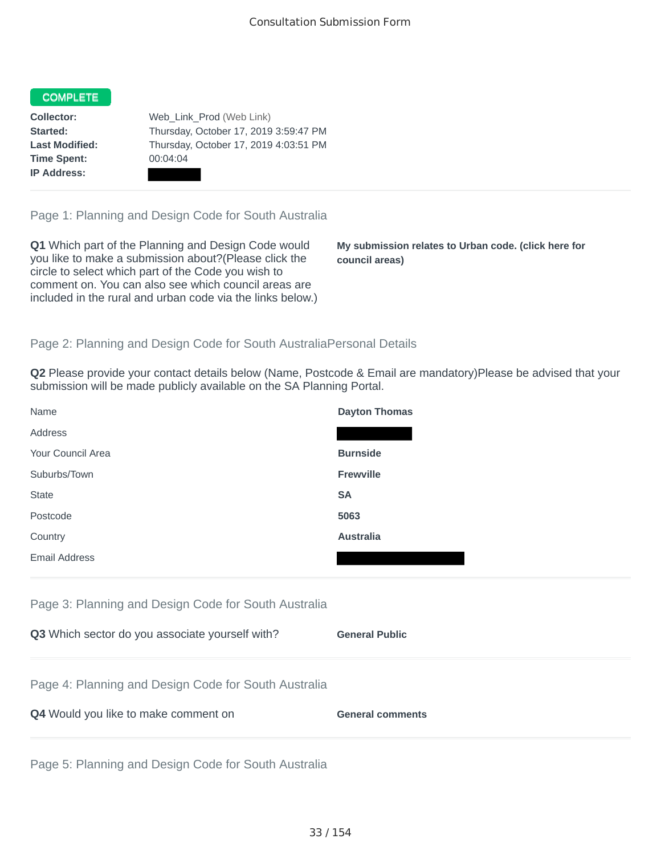## **COMPLETE**

**Time Spent:** 00:04:04 **IP Address:**

**Collector:** Web\_Link\_Prod (Web Link) **Started:** Thursday, October 17, 2019 3:59:47 PM **Last Modified:** Thursday, October 17, 2019 4:03:51 PM

Page 1: Planning and Design Code for South Australia

**Q1** Which part of the Planning and Design Code would you like to make a submission about?(Please click the circle to select which part of the Code you wish to comment on. You can also see which council areas are included in the rural and urban code via the links below.)

**My submission relates to Urban code. (click here for council areas)**

## Page 2: Planning and Design Code for South AustraliaPersonal Details

**Q2** Please provide your contact details below (Name, Postcode & Email are mandatory)Please be advised that your submission will be made publicly available on the SA Planning Portal.

| Name                 | <b>Dayton Thomas</b> |
|----------------------|----------------------|
| Address              |                      |
| Your Council Area    | <b>Burnside</b>      |
| Suburbs/Town         | Frewville            |
| <b>State</b>         | <b>SA</b>            |
| Postcode             | 5063                 |
| Country              | <b>Australia</b>     |
| <b>Email Address</b> |                      |

Page 3: Planning and Design Code for South Australia

| Q3 Which sector do you associate yourself with?      | <b>General Public</b>   |
|------------------------------------------------------|-------------------------|
| Page 4: Planning and Design Code for South Australia |                         |
| Q4 Would you like to make comment on                 | <b>General comments</b> |

Page 5: Planning and Design Code for South Australia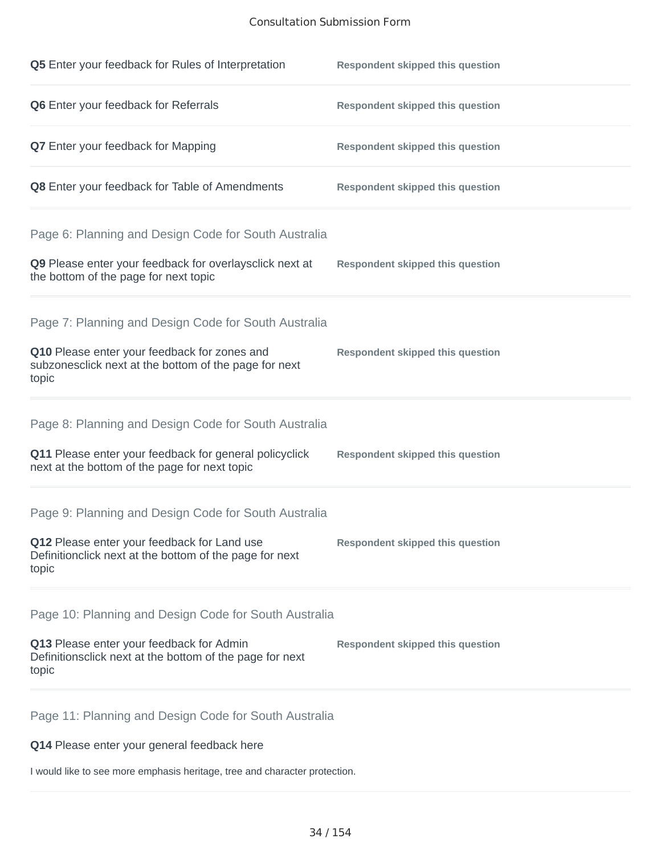## Consultation Submission Form

| Q5 Enter your feedback for Rules of Interpretation                                                                                                                      | <b>Respondent skipped this question</b> |
|-------------------------------------------------------------------------------------------------------------------------------------------------------------------------|-----------------------------------------|
| Q6 Enter your feedback for Referrals                                                                                                                                    | <b>Respondent skipped this question</b> |
| Q7 Enter your feedback for Mapping                                                                                                                                      | <b>Respondent skipped this question</b> |
| Q8 Enter your feedback for Table of Amendments                                                                                                                          | <b>Respondent skipped this question</b> |
| Page 6: Planning and Design Code for South Australia<br>Q9 Please enter your feedback for overlaysclick next at                                                         | <b>Respondent skipped this question</b> |
| the bottom of the page for next topic                                                                                                                                   |                                         |
| Page 7: Planning and Design Code for South Australia<br>Q10 Please enter your feedback for zones and<br>subzonesclick next at the bottom of the page for next<br>topic  | <b>Respondent skipped this question</b> |
| Page 8: Planning and Design Code for South Australia<br>Q11 Please enter your feedback for general policyclick<br>next at the bottom of the page for next topic         | <b>Respondent skipped this question</b> |
| Page 9: Planning and Design Code for South Australia<br>Q12 Please enter your feedback for Land use<br>Definitionclick next at the bottom of the page for next<br>topic | <b>Respondent skipped this question</b> |
| Page 10: Planning and Design Code for South Australia<br>Q13 Please enter your feedback for Admin<br>Definitionsclick next at the bottom of the page for next<br>topic  | <b>Respondent skipped this question</b> |
| Page 11: Planning and Design Code for South Australia                                                                                                                   |                                         |

**Q14** Please enter your general feedback here

I would like to see more emphasis heritage, tree and character protection.